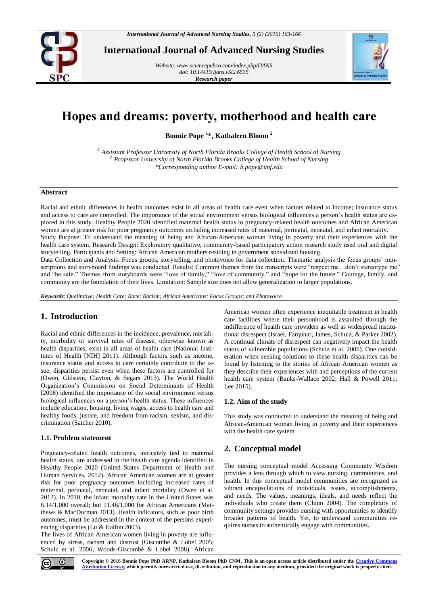

**International Journal of Advanced Nursing Studies**

*Website[: www.sciencepubco.com/index.php/IJANS](http://www.sciencepubco.com/index.php/IJANS) doi: 10.14419/ijans.v5i2.6535 Research paper*



# **Hopes and dreams: poverty, motherhood and health care**

**Bonnie Pope <sup>1</sup> \*, Kathaleen Bloom <sup>2</sup>**

*<sup>1</sup> Assistant Professor University of North Florida Brooks College of Health School of Nursing <sup>2</sup> Professor University of North Florida Brooks College of Health School of Nursing \*Corresponding author E-mail: b.pope@unf.edu*

## **Abstract**

Racial and ethnic differences in health outcomes exist in all areas of health care even when factors related to income; insurance status and access to care are controlled. The importance of the social environment versus biological influences a person's health status are explored in this study. Healthy People 2020 identified maternal health status to pregnancy-related health outcomes and African American women are at greater risk for poor pregnancy outcomes including increased rates of maternal, perinatal, neonatal, and infant mortality.

Study Purpose: To understand the meaning of being and African-American woman living in poverty and their experiences with the health care system. Research Design: Exploratory qualitative, community-based participatory action research study used oral and digital storytelling. Participants and Setting: African American mothers residing in government subsidized housing.

Data Collection and Analysis: Focus groups, storytelling, and photovoice for data collection. Thematic analysis the focus groups' transcriptions and storyboard findings was conducted. Results: Common themes from the transcripts were "respect me…don't stereotype me" and "be safe." Themes from storyboards were "love of family," "love of community," and "hope for the future." Courage, family, and community are the foundation of their lives. Limitation: Sample size does not allow generalization to larger populations.

*Keywords*: *Qualitative; Health Care; Race; Racism; African Americans; Focus Groups; and Photovoice.*

# **1. Introduction**

Racial and ethnic differences in the incidence, prevalence, mortality, morbidity or survival rates of disease, otherwise known as health disparities, exist in all areas of health care (National Institutes of Health [NIH] 2011). Although factors such as income, insurance status and access to care certainly contribute to the issue, disparities persist even when these factors are controlled for (Owen, Gldstein, Clayton, & Segars 2013). The World Health Organization's Commission on Social Determinants of Health (2008) identified the importance of the social environment versus biological influences on a person's health status. These influences include education, housing, living wages, access to health care and healthy foods, justice, and freedom from racism, sexism, and discrimination (Satcher 2010).

#### **1.1. Problem statement**

Pregnancy-related health outcomes, intricately tied to maternal health status, are addressed in the health care agenda identified in Healthy People 2020 (United States Department of Health and Human Services, 2012). African American women are at greater risk for poor pregnancy outcomes including increased rates of maternal, perinatal, neonatal, and infant mortality (Owen et al. 2013). In 2010, the infant mortality rate in the United States was 6.14/1,000 overall; but 11.46/1,000 for African Americans (Matthews & MacDorman 2013). Health indicators, such as poor birth outcomes, must be addressed in the context of the persons experiencing disparities (Lu & Halfon 2003).

The lives of African American women living in poverty are influenced by stress, racism and distrust (Giscombé & Lobel 2005; Schulz et al. 2006; Woods-Giscombé & Lobel 2008). African American women often experience inequitable treatment in health care facilities where their personhood is assaulted through the indifference of health care providers as well as widespread institutional disrespect (Israel, Farquhar, James, Schulz, & Parker 2002). A continual climate of disrespect can negatively impact the health status of vulnerable populations (Schulz et al. 2006). One consideration when seeking solutions to these health disparities can be found by listening to the stories of African American women as they describe their experiences with and perceptions of the current health care system (Banks-Wallace 2002; Hall & Powell 2011; Lee 2015).

## **1.2. Aim of the study**

This study was conducted to understand the meaning of being and African-American woman living in poverty and their experiences with the health care system

## **2. Conceptual model**

The nursing conceptual model Accessing Community Wisdom provides a lens through which to view nursing, communities, and health. In this conceptual model communities are recognized as vibrant encapsulations of individuals, issues, accomplishments, and needs. The values, meanings, ideals, and needs reflect the individuals who create them (Chinn 2004). The complexity of community settings provides nursing with opportunities to identify broader patterns of health. Yet, to understand communities requires nurses to authentically engage with communities.



**Copyright © 2016 Bonnie Pope PhD ARNP, Kathaleen Bloom PhD CNM. This is an open access article distributed under th[e Creative Commons](http://creativecommons.org/licenses/by/3.0/)  [Attribution License,](http://creativecommons.org/licenses/by/3.0/) which permits unrestricted use, distribution, and reproduction in any medium, provided the original work is properly cited.**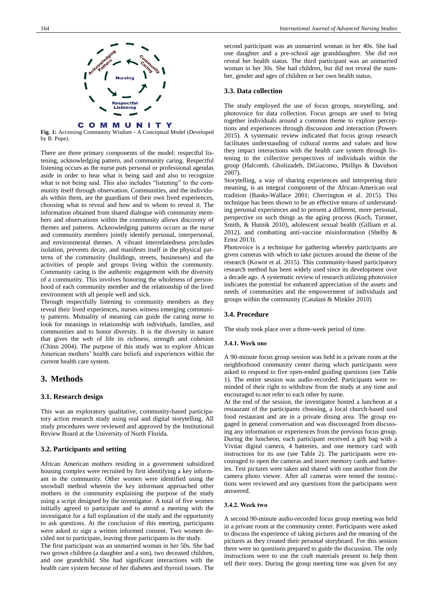

**Fig. 1:** Accessing Community Wisdom - A Conceptual Model (Developed by B. Pope).

There are three primary components of the model: respectful listening, acknowledging pattern, and community caring. Respectful listening occurs as the nurse puts personal or professional agendas aside in order to hear what is being said and also to recognize what is not being said. This also includes "listening" to the community itself through observation. Communities, and the individuals within them, are the guardians of their own lived experiences, choosing what to reveal and how and to whom to reveal it. The information obtained from shared dialogue with community members and observations within the community allows discovery of themes and patterns. Acknowledging patterns occurs as the nurse and community members jointly identify personal, interpersonal, and environmental themes. A vibrant interrelatedness precludes isolation, prevents decay, and manifests itself in the physical patterns of the community (buildings, streets, businesses) and the activities of people and groups living within the community. Community caring is the authentic engagement with the diversity of a community. This involves honoring the wholeness of personhood of each community member and the relationship of the lived environment with all people well and sick.

Through respectfully listening to community members as they reveal their lived experiences, nurses witness emerging community patterns. Mutuality of meaning can guide the caring nurse to look for meanings in relationship with individuals, families, and communities and to honor diversity. It is the diversity in nature that gives the web of life its richness, strength and cohesion (Chinn 2004). The purpose of this study was to explore African American mothers' health care beliefs and experiences within the current health care system.

## **3. Methods**

#### **3.1. Research design**

This was an exploratory qualitative, community-based participatory action research study using oral and digital storytelling. All study procedures were reviewed and approved by the Institutional Review Board at the University of North Florida.

#### **3.2. Participants and setting**

African American mothers residing in a government subsidized housing complex were recruited by first identifying a key informant in the community. Other women were identified using the snowball method wherein the key informant approached other mothers in the community explaining the purpose of the study using a script designed by the investigator. A total of five women initially agreed to participate and to attend a meeting with the investigator for a full explanation of the study and the opportunity to ask questions. At the conclusion of this meeting, participants were asked to sign a written informed consent. Two women decided not to participate, leaving three participants in the study.

The first participant was an unmarried woman in her 50s. She had two grown children (a daughter and a son), two deceased children, and one grandchild. She had significant interactions with the health care system because of her diabetes and thyroid issues. The

second participant was an unmarried woman in her 40s. She had one daughter and a pre-school age granddaughter. She did not reveal her health status. The third participant was an unmarried woman in her 30s. She had children, but did not reveal the number, gender and ages of children or her own health status.

#### **3.3. Data collection**

The study employed the use of focus groups, storytelling, and photovoice for data collection. Focus groups are used to bring together individuals around a common theme to explore perceptions and experiences through discussion and interaction (Powers 2015). A systematic review indicated that focus group research facilitates understanding of cultural norms and values and how they impact interactions with the health care system through listening to the collective perspectives of individuals within the group (Halcomb, Gholizadeh, DiGiacomo, Phillips & Davidson 2007).

Storytelling, a way of sharing experiences and interpreting their meaning, is an integral component of the African-American oral tradition (Banks-Wallace 2001; Cherrington et al. 2015). This technique has been shown to be an effective means of understanding personal experiences and to present a different, more personal, perspective on such things as the aging process (Koch, Turnner, Smith, & Hutnik 2010), adolescent sexual health (Gilliam et al. 2012), and combatting anti-vaccine misinformation (Shelby & Ernst 2013).

Photovoice is a technique for gathering whereby participants are given cameras with which to take pictures around the theme of the research (Kowot et al. 2015). This community-based participatory research method has been widely used since its development over a decade ago. A systematic review of research utilizing photovoice indicates the potential for enhanced appreciation of the assets and needs of communities and the empowerment of individuals and groups within the community (Catalani & Minkler 2010)

#### **3.4. Procedure**

The study took place over a three-week period of time.

#### **3.4.1. Week one**

A 90-minute focus group session was held in a private room at the neighborhood community center during which participants were asked to respond to five open-ended guiding questions (see Table 1). The entire session was audio-recorded. Participants were reminded of their right to withdraw from the study at any time and encouraged to not refer to each other by name.

At the end of the session, the investigator hosted a luncheon at a restaurant of the participants choosing, a local church-based soul food restaurant and ate in a private dining area. The group engaged in general conversation and was discouraged from discussing any information or experiences from the previous focus group. During the luncheon, each participant received a gift bag with a Vivitar digital camera, 4 batteries, and one memory card with instructions for its use (see Table 2). The participants were encouraged to open the cameras and insert memory cards and batteries. Test pictures were taken and shared with one another from the camera photo viewer. After all cameras were tested the instructions were reviewed and any questions from the participants were answered.

#### **3.4.2. Week two**

A second 90-minute audio-recorded focus group meeting was held in a private room at the community center. Participants were asked to discuss the experience of taking pictures and the meaning of the pictures as they created their personal storyboard. For this session there were no questions prepared to guide the discussion. The only instructions were to use the craft materials present to help them tell their story. During the group meeting time was given for any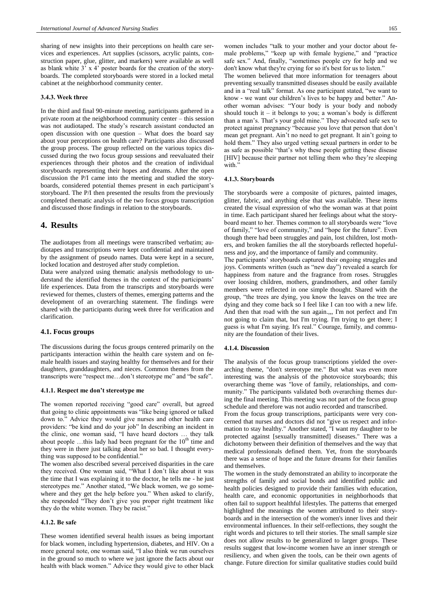sharing of new insights into their perceptions on health care services and experiences. Art supplies (scissors, acrylic paints, construction paper, glue, glitter, and markers) were available as well as blank white 3' x 4' poster boards for the creation of the storyboards. The completed storyboards were stored in a locked metal cabinet at the neighborhood community center.

#### **3.4.3. Week three**

In the third and final 90-minute meeting, participants gathered in a private room at the neighborhood community center – this session was not audiotaped. The study's research assistant conducted an open discussion with one question – What does the board say about your perceptions on health care? Participants also discussed the group process. The group reflected on the various topics discussed during the two focus group sessions and reevaluated their experiences through their photos and the creation of individual storyboards representing their hopes and dreams. After the open discussion the P/I came into the meeting and studied the storyboards, considered potential themes present in each participant's storyboard. The P/I then presented the results from the previously completed thematic analysis of the two focus groups transcription and discussed those findings in relation to the storyboards.

## **4. Results**

The audiotapes from all meetings were transcribed verbatim; audiotapes and transcriptions were kept confidential and maintained by the assignment of pseudo names. Data were kept in a secure, locked location and destroyed after study completion.

Data were analyzed using thematic analysis methodology to understand the identified themes in the context of the participants' life experiences. Data from the transcripts and storyboards were reviewed for themes, clusters of themes, emerging patterns and the development of an overarching statement. The findings were shared with the participants during week three for verification and clarification.

#### **4.1. Focus groups**

The discussions during the focus groups centered primarily on the participants interaction within the health care system and on female health issues and staying healthy for themselves and for their daughters, granddaughters, and nieces. Common themes from the transcripts were "respect me…don't stereotype me" and "be safe".

#### **4.1.1. Respect me don't stereotype me**

The women reported receiving "good care" overall, but agreed that going to clinic appointments was "like being ignored or talked down to." Advice they would give nurses and other health care providers: "be kind and do your job" In describing an incident in the clinic, one woman said, "I have heard doctors … they talk about people ...this lady had been pregnant for the 10<sup>th</sup> time and they were in there just talking about her so bad. I thought everything was supposed to be confidential."

The women also described several perceived disparities in the care they received. One woman said, "What I don't like about it was the time that I was explaining it to the doctor, he tells me - he just stereotypes me." Another stated, "We black women, we go somewhere and they get the help before you." When asked to clarify, she responded "They don't give you proper right treatment like they do the white women. They be racist."

#### **4.1.2. Be safe**

These women identified several health issues as being important for black women, including hypertension, diabetes, and HIV. On a more general note, one woman said, "I also think we run ourselves in the ground so much to where we just ignore the facts about our health with black women." Advice they would give to other black women includes "talk to your mother and your doctor about female problems," "keep up with female hygiene," and "practice safe sex." And, finally, "sometimes people cry for help and we don't know what they're crying for so it's best for us to listen."

The women believed that more information for teenagers about preventing sexually transmitted diseases should be easily available and in a "real talk" format. As one participant stated, "we want to know - we want our children's lives to be happy and better." Another woman advises: "Your body is your body and nobody should touch it – it belongs to you; a woman's body is different than a man's. That's your gold mine." They advocated safe sex to protect against pregnancy "because you love that person that don't mean get pregnant. Ain't no need to get pregnant. It ain't going to hold them." They also urged vetting sexual partners in order to be as safe as possible "that's why these people getting these disease [HIV] because their partner not telling them who they're sleeping with.

#### **4.1.3. Storyboards**

The storyboards were a composite of pictures, painted images, glitter, fabric, and anything else that was available. These items created the visual expression of who the woman was at that point in time. Each participant shared her feelings about what the storyboard meant to her. Themes common to all storyboards were "love of family," "love of community," and "hope for the future". Even though there had been struggles and pain, lost children, lost mothers, and broken families the all the storyboards reflected hopefulness and joy, and the importance of family and community.

The participants' storyboards captured their ongoing struggles and joys. Comments written (such as "new day") revealed a search for happiness from nature and the fragrance from roses. Struggles over loosing children, mothers, grandmothers, and other family members were reflected in one simple thought. Shared with the group, "the trees are dying, you know the leaves on the tree are dying and they come back so I feel like I can too with a new life. And then that road with the sun again.,,, I'm not perfect and I'm not going to claim that, but I'm trying. I'm trying to get there; I guess is what I'm saying. It's real." Courage, family, and community are the foundation of their lives.

#### **4.1.4. Discussion**

The analysis of the focus group transcriptions yielded the overarching theme, "don't stereotype me." But what was even more interesting was the analysis of the photovoice storyboards; this overarching theme was "love of family, relationships, and community." The participants validated both overarching themes during the final meeting. This meeting was not part of the focus group schedule and therefore was not audio recorded and transcribed.

From the focus group transcriptions, participants were very concerned that nurses and doctors did not "give us respect and information to stay healthy." Another stated, "I want my daughter to be protected against [sexually transmitted] diseases." There was a dichotomy between their definition of themselves and the way that medical professionals defined them. Yet, from the storyboards there was a sense of hope and the future dreams for their families and themselves.

The women in the study demonstrated an ability to incorporate the strengths of family and social bonds and identified public and health policies designed to provide their families with education, health care, and economic opportunities in neighborhoods that often fail to support healthful lifestyles. The patterns that emerged highlighted the meanings the women attributed to their storyboards and in the intersection of the women's inner lives and their environmental influences. In their self-reflections, they sought the right words and pictures to tell their stories. The small sample size does not allow results to be generalized to larger groups. These results suggest that low-income women have an inner strength or resiliency, and when given the tools, can be their own agents of change. Future direction for similar qualitative studies could build